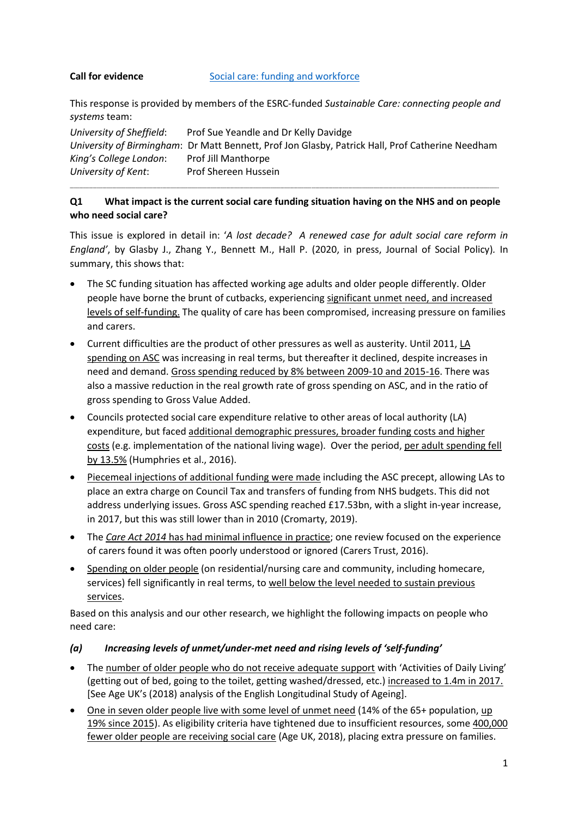#### **Call for evidence** [Social care: funding and workforce](https://committees.parliament.uk/call-for-evidence/51/social-care-funding-and-workforce/)

This response is provided by members of the ESRC-funded *Sustainable Care: connecting people and systems* team:

*University of Sheffield*: Prof Sue Yeandle and Dr Kelly Davidge *University of Birmingham*: Dr Matt Bennett, Prof Jon Glasby, Patrick Hall, Prof Catherine Needham *King's College London*: Prof Jill Manthorpe *University of Kent*: Prof Shereen Hussein

#### **Q1 What impact is the current social care funding situation having on the NHS and on people who need social care?**

**\_\_\_\_\_\_\_\_\_\_\_\_\_\_\_\_\_\_\_\_\_\_\_\_\_\_\_\_\_\_\_\_\_\_\_\_\_\_\_\_\_\_\_\_\_\_\_\_\_\_\_\_\_\_\_\_\_\_\_\_\_\_\_\_\_\_\_\_\_\_\_\_\_\_\_\_\_\_\_\_\_\_\_\_\_\_\_\_\_\_\_\_\_\_\_\_\_\_\_\_\_\_\_\_\_\_\_\_\_\_\_\_\_\_\_\_\_\_\_\_\_\_\_\_\_\_\_\_\_\_\_\_\_\_\_\_\_\_\_\_\_\_\_\_\_\_\_\_\_\_\_\_\_\_\_\_\_\_\_\_\_\_\_\_\_\_\_\_\_\_\_\_\_\_\_\_\_\_\_\_\_\_\_\_\_\_\_\_\_\_\_\_\_\_\_\_\_\_\_\_\_\_\_\_\_\_\_\_\_\_\_\_\_\_\_\_\_\_\_\_\_\_**

This issue is explored in detail in: '*A lost decade? A renewed case for adult social care reform in England'*, by Glasby J., Zhang Y., Bennett M., Hall P. (2020, in press, Journal of Social Policy)*.* In summary, this shows that:

- The SC funding situation has affected working age adults and older people differently. Older people have borne the brunt of cutbacks, experiencing significant unmet need, and increased levels of self-funding. The quality of care has been compromised, increasing pressure on families and carers.
- Current difficulties are the product of other pressures as well as austerity. Until 2011, LA spending on ASC was increasing in real terms, but thereafter it declined, despite increases in need and demand. Gross spending reduced by 8% between 2009-10 and 2015-16. There was also a massive reduction in the real growth rate of gross spending on ASC, and in the ratio of gross spending to Gross Value Added.
- Councils protected social care expenditure relative to other areas of local authority (LA) expenditure, but faced additional demographic pressures, broader funding costs and higher costs (e.g. implementation of the national living wage). Over the period, per adult spending fell by 13.5% (Humphries et al., 2016).
- Piecemeal injections of additional funding were made including the ASC precept, allowing LAs to place an extra charge on Council Tax and transfers of funding from NHS budgets. This did not address underlying issues. Gross ASC spending reached £17.53bn, with a slight in-year increase, in 2017, but this was still lower than in 2010 (Cromarty, 2019).
- The *Care Act 2014* has had minimal influence in practice; one review focused on the experience of carers found it was often poorly understood or ignored (Carers Trust, 2016).
- Spending on older people (on residential/nursing care and community, including homecare, services) fell significantly in real terms, to well below the level needed to sustain previous services.

Based on this analysis and our other research, we highlight the following impacts on people who need care:

# *(a) Increasing levels of unmet/under-met need and rising levels of 'self-funding'*

- The number of older people who do not receive adequate support with 'Activities of Daily Living' (getting out of bed, going to the toilet, getting washed/dressed, etc.) increased to 1.4m in 2017. [See Age UK's (2018) analysis of the English Longitudinal Study of Ageing].
- One in seven older people live with some level of unmet need (14% of the 65+ population, up 19% since 2015). As eligibility criteria have tightened due to insufficient resources, some 400,000 fewer older people are receiving social care (Age UK, 2018), placing extra pressure on families.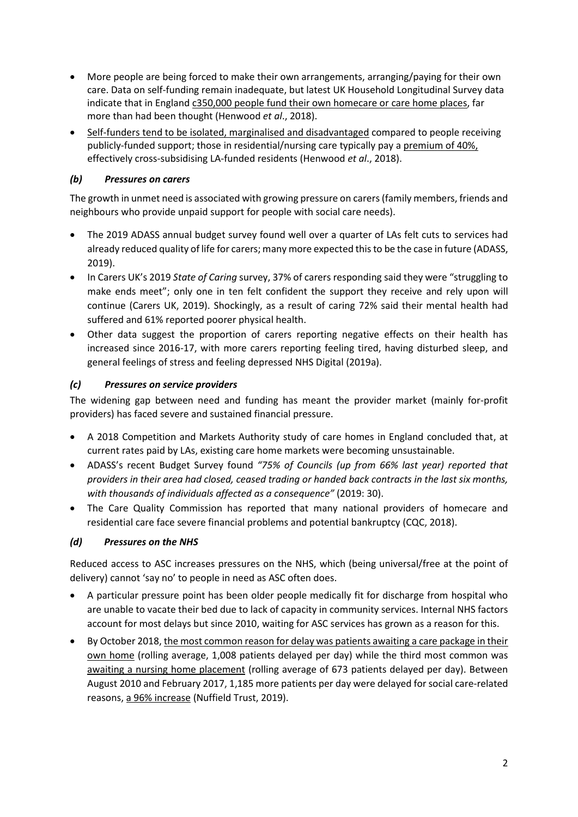- More people are being forced to make their own arrangements, arranging/paying for their own care. Data on self-funding remain inadequate, but latest UK Household Longitudinal Survey data indicate that in England c350,000 people fund their own homecare or care home places, far more than had been thought (Henwood *et al*., 2018).
- Self-funders tend to be isolated, marginalised and disadvantaged compared to people receiving publicly-funded support; those in residential/nursing care typically pay a premium of 40%, effectively cross-subsidising LA-funded residents (Henwood *et al*., 2018).

### *(b) Pressures on carers*

The growth in unmet need is associated with growing pressure on carers (family members, friends and neighbours who provide unpaid support for people with social care needs).

- The 2019 ADASS annual budget survey found well over a quarter of LAs felt cuts to services had already reduced quality of life for carers; many more expected this to be the case in future (ADASS, 2019).
- In Carers UK's 2019 *State of Caring* survey, 37% of carers responding said they were "struggling to make ends meet"; only one in ten felt confident the support they receive and rely upon will continue (Carers UK, 2019). Shockingly, as a result of caring 72% said their mental health had suffered and 61% reported poorer physical health.
- Other data suggest the proportion of carers reporting negative effects on their health has increased since 2016-17, with more carers reporting feeling tired, having disturbed sleep, and general feelings of stress and feeling depressed NHS Digital (2019a).

#### *(c) Pressures on service providers*

The widening gap between need and funding has meant the provider market (mainly for-profit providers) has faced severe and sustained financial pressure.

- A 2018 Competition and Markets Authority study of care homes in England concluded that, at current rates paid by LAs, existing care home markets were becoming unsustainable.
- ADASS's recent Budget Survey found *"75% of Councils (up from 66% last year) reported that providers in their area had closed, ceased trading or handed back contracts in the last six months, with thousands of individuals affected as a consequence"* (2019: 30).
- The Care Quality Commission has reported that many national providers of homecare and residential care face severe financial problems and potential bankruptcy (CQC, 2018).

# *(d) Pressures on the NHS*

Reduced access to ASC increases pressures on the NHS, which (being universal/free at the point of delivery) cannot 'say no' to people in need as ASC often does.

- A particular pressure point has been older people medically fit for discharge from hospital who are unable to vacate their bed due to lack of capacity in community services. Internal NHS factors account for most delays but since 2010, waiting for ASC services has grown as a reason for this.
- By October 2018, the most common reason for delay was patients awaiting a care package in their own home (rolling average, 1,008 patients delayed per day) while the third most common was awaiting a nursing home placement (rolling average of 673 patients delayed per day). Between August 2010 and February 2017, 1,185 more patients per day were delayed for social care-related reasons, a 96% increase (Nuffield Trust, 2019).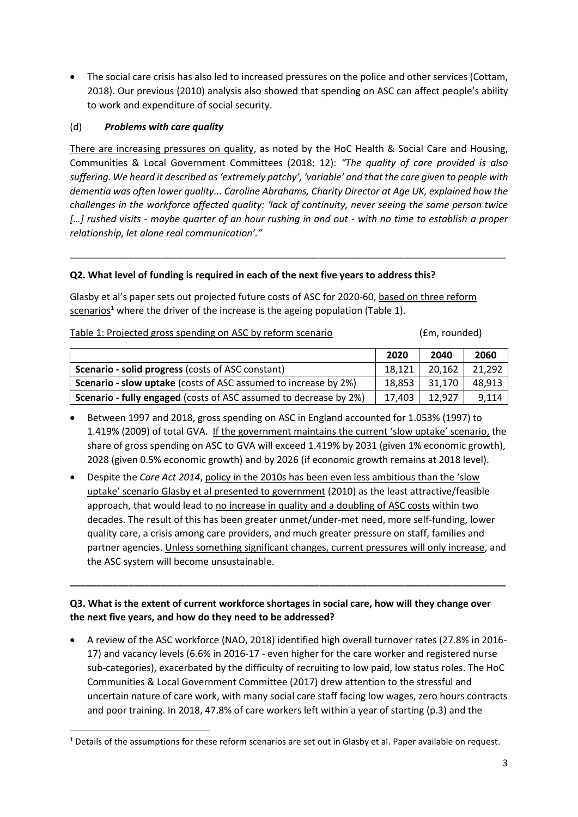The social care crisis has also led to increased pressures on the police and other services (Cottam, 2018). Our previous (2010) analysis also showed that spending on ASC can affect people's ability to work and expenditure of social security.

#### (d) *Problems with care quality*

**.** 

There are increasing pressures on quality, as noted by the HoC Health & Social Care and Housing, Communities & Local Government Committees (2018: 12): *"The quality of care provided is also suffering. We heard it described as 'extremely patchy', 'variable' and that the care given to people with dementia was often lower quality... Caroline Abrahams, Charity Director at Age UK, explained how the challenges in the workforce affected quality: 'lack of continuity, never seeing the same person twice […] rushed visits - maybe quarter of an hour rushing in and out - with no time to establish a proper relationship, let alone real communication'."*

\_\_\_\_\_\_\_\_\_\_\_\_\_\_\_\_\_\_\_\_\_\_\_\_\_\_\_\_\_\_\_\_\_\_\_\_\_\_\_\_\_\_\_\_\_\_\_\_\_\_\_\_\_\_\_\_\_\_\_\_\_\_\_\_\_\_\_\_\_\_\_\_\_\_\_\_\_\_\_\_\_\_

#### **Q2. What level of funding is required in each of the next five years to address this?**

Glasby et al's paper sets out projected future costs of ASC for 2020-60, based on three reform  $s$ cenarios<sup>1</sup> where the driver of the increase is the ageing population (Table 1).

Table 1: Projected gross spending on ASC by reform scenario (*fm*, rounded)

|                                                                          | 2020   | 2040   | 2060   |
|--------------------------------------------------------------------------|--------|--------|--------|
| <b>Scenario - solid progress (costs of ASC constant)</b>                 | 18.121 | 20.162 | 21.292 |
| <b>Scenario - slow uptake</b> (costs of ASC assumed to increase by 2%)   | 18.853 | 31.170 | 48.913 |
| <b>Scenario - fully engaged</b> (costs of ASC assumed to decrease by 2%) | 17.403 | 12.927 | 9,114  |

- Between 1997 and 2018, gross spending on ASC in England accounted for 1.053% (1997) to 1.419% (2009) of total GVA. If the government maintains the current 'slow uptake' scenario, the share of gross spending on ASC to GVA will exceed 1.419% by 2031 (given 1% economic growth), 2028 (given 0.5% economic growth) and by 2026 (if economic growth remains at 2018 level).
- Despite the *Care Act 2014*, policy in the 2010s has been even less ambitious than the 'slow uptake' scenario Glasby et al presented to government (2010) as the least attractive/feasible approach, that would lead to no increase in quality and a doubling of ASC costs within two decades. The result of this has been greater unmet/under-met need, more self-funding, lower quality care, a crisis among care providers, and much greater pressure on staff, families and partner agencies. Unless something significant changes, current pressures will only increase, and the ASC system will become unsustainable.

# **Q3. What is the extent of current workforce shortages in social care, how will they change over the next five years, and how do they need to be addressed?**

**\_\_\_\_\_\_\_\_\_\_\_\_\_\_\_\_\_\_\_\_\_\_\_\_\_\_\_\_\_\_\_\_\_\_\_\_\_\_\_\_\_\_\_\_\_\_\_\_\_\_\_\_\_\_\_\_\_\_\_\_\_\_\_\_\_\_\_\_\_\_\_\_\_\_\_\_\_\_\_\_\_\_**

 A review of the ASC workforce (NAO, 2018) identified high overall turnover rates (27.8% in 2016- 17) and vacancy levels (6.6% in 2016-17 - even higher for the care worker and registered nurse sub-categories), exacerbated by the difficulty of recruiting to low paid, low status roles. The HoC Communities & Local Government Committee (2017) drew attention to the stressful and uncertain nature of care work, with many social care staff facing low wages, zero hours contracts and poor training. In 2018, 47.8% of care workers left within a year of starting (p.3) and the

 $1$  Details of the assumptions for these reform scenarios are set out in Glasby et al. Paper available on request.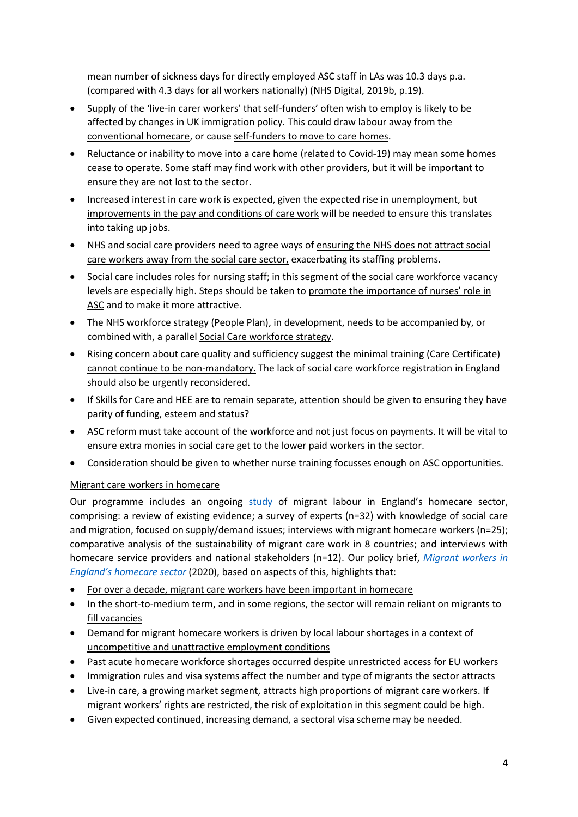mean number of sickness days for directly employed ASC staff in LAs was 10.3 days p.a. (compared with 4.3 days for all workers nationally) (NHS Digital, 2019b, p.19).

- Supply of the 'live-in carer workers' that self-funders' often wish to employ is likely to be affected by changes in UK immigration policy. This could draw labour away from the conventional homecare, or cause self-funders to move to care homes.
- Reluctance or inability to move into a care home (related to Covid-19) may mean some homes cease to operate. Some staff may find work with other providers, but it will be important to ensure they are not lost to the sector.
- Increased interest in care work is expected, given the expected rise in unemployment, but improvements in the pay and conditions of care work will be needed to ensure this translates into taking up jobs.
- NHS and social care providers need to agree ways of ensuring the NHS does not attract social care workers away from the social care sector, exacerbating its staffing problems.
- Social care includes roles for nursing staff; in this segment of the social care workforce vacancy levels are especially high. Steps should be taken to promote the importance of nurses' role in ASC and to make it more attractive.
- The NHS workforce strategy (People Plan), in development, needs to be accompanied by, or combined with, a parallel Social Care workforce strategy.
- Rising concern about care quality and sufficiency suggest the minimal training (Care Certificate) cannot continue to be non-mandatory. The lack of social care workforce registration in England should also be urgently reconsidered.
- If Skills for Care and HEE are to remain separate, attention should be given to ensuring they have parity of funding, esteem and status?
- ASC reform must take account of the workforce and not just focus on payments. It will be vital to ensure extra monies in social care get to the lower paid workers in the sector.
- Consideration should be given to whether nurse training focusses enough on ASC opportunities.

# Migrant care workers in homecare

Our programme includes an ongoing [study](http://circle.group.shef.ac.uk/portfolio/migrant-care-workers-in-the-uk/) of migrant labour in England's homecare sector, comprising: a review of existing evidence; a survey of experts (n=32) with knowledge of social care and migration, focused on supply/demand issues; interviews with migrant homecare workers (n=25); comparative analysis of the sustainability of migrant care work in 8 countries; and interviews with homecare service providers and national stakeholders (n=12). Our policy brief, *[Migrant workers in](http://circle.group.shef.ac.uk/wp-content/uploads/2020/06/SC-PB_June-2020_Migrant-workers-in-England%E2%80%99s-homecare-sector.pdf)  [England's home](http://circle.group.shef.ac.uk/wp-content/uploads/2020/06/SC-PB_June-2020_Migrant-workers-in-England%E2%80%99s-homecare-sector.pdf)care sector* (2020), based on aspects of this, highlights that:

- For over a decade, migrant care workers have been important in homecare
- In the short-to-medium term, and in some regions, the sector will remain reliant on migrants to fill vacancies
- Demand for migrant homecare workers is driven by local labour shortages in a context of uncompetitive and unattractive employment conditions
- Past acute homecare workforce shortages occurred despite unrestricted access for EU workers
- Immigration rules and visa systems affect the number and type of migrants the sector attracts
- Live-in care, a growing market segment, attracts high proportions of migrant care workers. If migrant workers' rights are restricted, the risk of exploitation in this segment could be high.
- Given expected continued, increasing demand, a sectoral visa scheme may be needed.